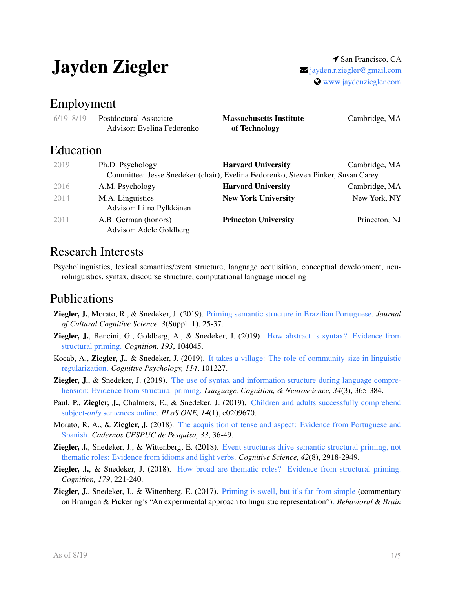# Jayden Ziegler <sup>1 San Francisco, CA</sup>

# www.jaydenziegler.com

#### Employment

| $6/19 - 8/19$ | Postdoctoral Associate<br>Advisor: Evelina Fedorenko | <b>Massachusetts Institute</b><br>of Technology                                  | Cambridge, MA |
|---------------|------------------------------------------------------|----------------------------------------------------------------------------------|---------------|
| Education     |                                                      |                                                                                  |               |
| 2019          | Ph.D. Psychology                                     | <b>Harvard University</b>                                                        | Cambridge, MA |
|               |                                                      | Committee: Jesse Snedeker (chair), Evelina Fedorenko, Steven Pinker, Susan Carey |               |
| 2016          | A.M. Psychology                                      | <b>Harvard University</b>                                                        | Cambridge, MA |
| 2014          | M.A. Linguistics<br>Advisor: Liina Pylkkänen         | <b>New York University</b>                                                       | New York, NY  |
| 2011          | A.B. German (honors)<br>Advisor: Adele Goldberg      | <b>Princeton University</b>                                                      | Princeton, NJ |

#### Research Interests

Psycholinguistics, lexical semantics/event structure, language acquisition, conceptual development, neurolinguistics, syntax, discourse structure, computational language modeling

#### Publications

- Ziegler, J., Morato, R., & Snedeker, J. (2019). Priming semantic structure in Brazilian Portuguese. *Journal of Cultural Cognitive Science, 3*(Suppl. 1), 25-37.
- Ziegler, J., Bencini, G., Goldberg, A., & Snedeker, J. (2019). How abstract is syntax? Evidence from structural priming. *Cognition, 193*, 104045.
- Kocab, A., Ziegler, J., & Snedeker, J. (2019). It takes a village: The role of community size in linguistic regularization. *Cognitive Psychology, 114*, 101227.
- **Ziegler, J., & Snedeker, J. (2019).** The use of syntax and information structure during language comprehension: Evidence from structural priming. *Language, Cognition, & Neuroscience, 34*(3), 365-384.
- Paul, P., Ziegler, J., Chalmers, E., & Snedeker, J. (2019). Children and adults successfully comprehend subject-*only* sentences online. *PLoS ONE, 14*(1), e0209670.
- Morato, R. A., & Ziegler, J. (2018). The acquisition of tense and aspect: Evidence from Portuguese and Spanish. *Cadernos CESPUC de Pesquisa, 33*, 36-49.
- Ziegler, J., Snedeker, J., & Wittenberg, E. (2018). Event structures drive semantic structural priming, not thematic roles: Evidence from idioms and light verbs. *Cognitive Science, 42*(8), 2918-2949.
- **Ziegler, J., & Snedeker, J. (2018).** How broad are thematic roles? Evidence from structural priming. *Cognition, 179*, 221-240.
- Ziegler, J., Snedeker, J., & Wittenberg, E. (2017). Priming is swell, but it's far from simple (commentary on Branigan & Pickering's "An experimental approach to linguistic representation"). *Behavioral & Brain*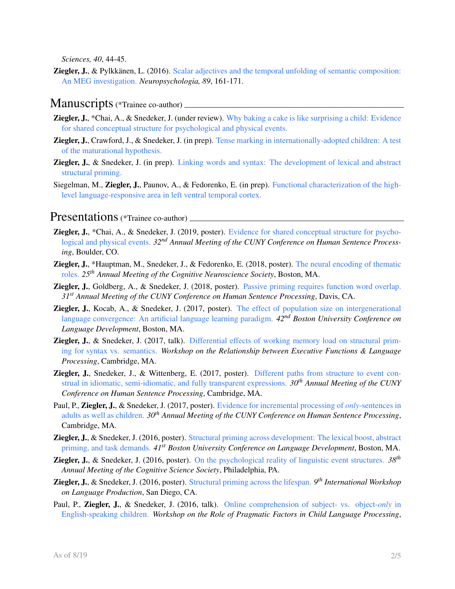*Sciences, 40*, 44-45.

**Ziegler, J., & Pylkkänen, L. (2016).** Scalar adjectives and the temporal unfolding of semantic composition: An MEG investigation. *Neuropsychologia, 89*, 161-171.

#### Manuscripts (\*Trainee co-author)

- Ziegler, J., \*Chai, A., & Snedeker, J. (under review). Why baking a cake is like surprising a child: Evidence for shared conceptual structure for psychological and physical events.
- Ziegler, J., Crawford, J., & Snedeker, J. (in prep). Tense marking in internationally-adopted children: A test of the maturational hypothesis.
- Ziegler, J., & Snedeker, J. (in prep). Linking words and syntax: The development of lexical and abstract structural priming.
- Siegelman, M., Ziegler, J., Paunov, A., & Fedorenko, E. (in prep). Functional characterization of the highlevel language-responsive area in left ventral temporal cortex.

#### Presentations (\*Trainee co-author) \_\_\_\_\_\_\_\_

- Ziegler, J., \*Chai, A., & Snedeker, J. (2019, poster). Evidence for shared conceptual structure for psychological and physical events. *32nd Annual Meeting of the CUNY Conference on Human Sentence Processing*, Boulder, CO.
- Ziegler, J., \*Hauptman, M., Snedeker, J., & Fedorenko, E. (2018, poster). The neural encoding of thematic roles. *25th Annual Meeting of the Cognitive Neuroscience Society*, Boston, MA.
- Ziegler, J., Goldberg, A., & Snedeker, J. (2018, poster). Passive priming requires function word overlap. *31st Annual Meeting of the CUNY Conference on Human Sentence Processing*, Davis, CA.
- Ziegler, J., Kocab, A., & Snedeker, J. (2017, poster). The effect of population size on intergenerational language convergence: An artificial language learning paradigm. *42nd Boston University Conference on Language Development*, Boston, MA.
- **Ziegler, J., & Snedeker, J. (2017, talk).** Differential effects of working memory load on structural priming for syntax vs. semantics. *Workshop on the Relationship between Executive Functions & Language Processing*, Cambridge, MA.
- Ziegler, J., Snedeker, J., & Wittenberg, E. (2017, poster). Different paths from structure to event construal in idiomatic, semi-idiomatic, and fully transparent expressions. *30th Annual Meeting of the CUNY Conference on Human Sentence Processing*, Cambridge, MA.
- Paul, P., Ziegler, J., & Snedeker, J. (2017, poster). Evidence for incremental processing of *only*-sentences in adults as well as children. *30th Annual Meeting of the CUNY Conference on Human Sentence Processing*, Cambridge, MA.
- Ziegler, J., & Snedeker, J. (2016, poster). Structural priming across development: The lexical boost, abstract priming, and task demands. *41st Boston University Conference on Language Development*, Boston, MA.
- Ziegler, J., & Snedeker, J. (2016, poster). On the psychological reality of linguistic event structures. *38th Annual Meeting of the Cognitive Science Society*, Philadelphia, PA.
- Ziegler, J., & Snedeker, J. (2016, poster). Structural priming across the lifespan. *9 th International Workshop on Language Production*, San Diego, CA.
- Paul, P., Ziegler, J., & Snedeker, J. (2016, talk). Online comprehension of subject- vs. object-*only* in English-speaking children. *Workshop on the Role of Pragmatic Factors in Child Language Processing*,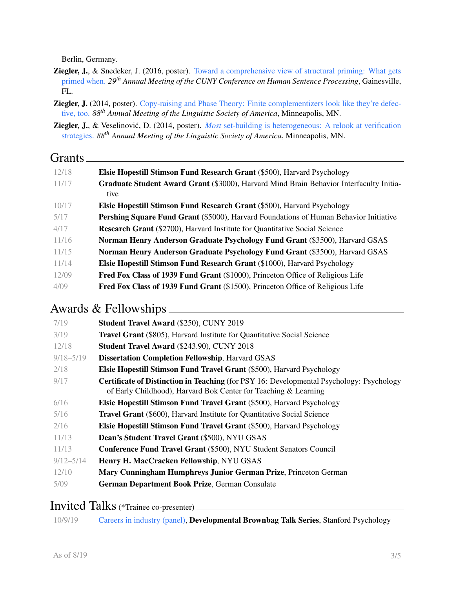Berlin, Germany.

- Ziegler, J., & Snedeker, J. (2016, poster). Toward a comprehensive view of structural priming: What gets primed when. *29th Annual Meeting of the CUNY Conference on Human Sentence Processing*, Gainesville, FL.
- **Ziegler, J.** (2014, poster). Copy-raising and Phase Theory: Finite complementizers look like they're defective, too. *88th Annual Meeting of the Linguistic Society of America*, Minneapolis, MN.
- **Ziegler, J.**, & Veselinović, D. (2014, poster). *Most* set-building is heterogeneous: A relook at verification strategies. *88th Annual Meeting of the Linguistic Society of America*, Minneapolis, MN.

#### Grants <u>Communication</u>

| 12/18 | <b>Elsie Hopestill Stimson Fund Research Grant (\$500), Harvard Psychology</b>               |
|-------|----------------------------------------------------------------------------------------------|
| 11/17 | Graduate Student Award Grant (\$3000), Harvard Mind Brain Behavior Interfaculty Initia-      |
|       | tive                                                                                         |
| 10/17 | <b>Elsie Hopestill Stimson Fund Research Grant (\$500), Harvard Psychology</b>               |
| 5/17  | <b>Pershing Square Fund Grant</b> (\$5000), Harvard Foundations of Human Behavior Initiative |
| 4/17  | <b>Research Grant</b> (\$2700), Harvard Institute for Quantitative Social Science            |
| 11/16 | Norman Henry Anderson Graduate Psychology Fund Grant (\$3500), Harvard GSAS                  |
| 11/15 | Norman Henry Anderson Graduate Psychology Fund Grant (\$3500), Harvard GSAS                  |
| 11/14 | <b>Elsie Hopestill Stimson Fund Research Grant</b> (\$1000), Harvard Psychology              |
| 12/09 | <b>Fred Fox Class of 1939 Fund Grant</b> (\$1000), Princeton Office of Religious Life        |
| 4/09  | <b>Fred Fox Class of 1939 Fund Grant</b> (\$1500), Princeton Office of Religious Life        |

# Awards & Fellowships

| 7/19          | <b>Student Travel Award (\$250), CUNY 2019</b>                                                                                                                     |
|---------------|--------------------------------------------------------------------------------------------------------------------------------------------------------------------|
| 3/19          | <b>Travel Grant</b> (\$805), Harvard Institute for Quantitative Social Science                                                                                     |
| 12/18         | <b>Student Travel Award (\$243.90), CUNY 2018</b>                                                                                                                  |
| $9/18 - 5/19$ | <b>Dissertation Completion Fellowship, Harvard GSAS</b>                                                                                                            |
| 2/18          | Elsie Hopestill Stimson Fund Travel Grant (\$500), Harvard Psychology                                                                                              |
| 9/17          | <b>Certificate of Distinction in Teaching</b> (for PSY 16: Developmental Psychology: Psychology<br>of Early Childhood), Harvard Bok Center for Teaching & Learning |
| 6/16          | Elsie Hopestill Stimson Fund Travel Grant (\$500), Harvard Psychology                                                                                              |
| 5/16          | <b>Travel Grant</b> (\$600), Harvard Institute for Quantitative Social Science                                                                                     |
| 2/16          | Elsie Hopestill Stimson Fund Travel Grant (\$500), Harvard Psychology                                                                                              |
| 11/13         | Dean's Student Travel Grant (\$500), NYU GSAS                                                                                                                      |
| 11/13         | Conference Fund Travel Grant (\$500), NYU Student Senators Council                                                                                                 |
| $9/12 - 5/14$ | Henry H. MacCracken Fellowship, NYU GSAS                                                                                                                           |
| 12/10         | Mary Cunningham Humphreys Junior German Prize, Princeton German                                                                                                    |
| 5/09          | German Department Book Prize, German Consulate                                                                                                                     |
|               |                                                                                                                                                                    |

#### Invited Talks(\*Trainee co-presenter)

10/9/19 Careers in industry (panel), Developmental Brownbag Talk Series, Stanford Psychology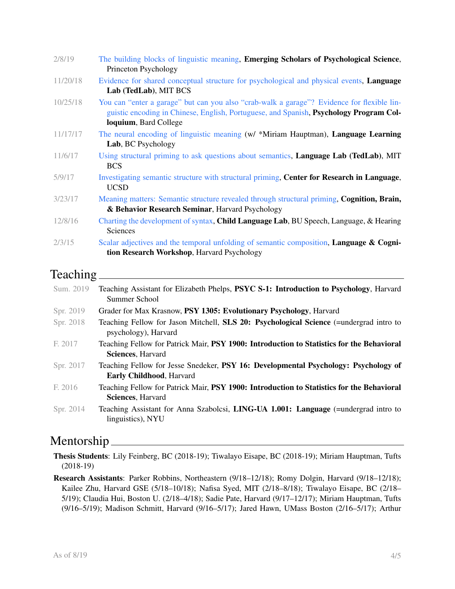| 2/8/19   | The building blocks of linguistic meaning, <b>Emerging Scholars of Psychological Science</b> ,<br>Princeton Psychology                                                                                        |
|----------|---------------------------------------------------------------------------------------------------------------------------------------------------------------------------------------------------------------|
| 11/20/18 | Evidence for shared conceptual structure for psychological and physical events, <b>Language</b><br>Lab (TedLab), MIT BCS                                                                                      |
| 10/25/18 | You can "enter a garage" but can you also "crab-walk a garage"? Evidence for flexible lin-<br>guistic encoding in Chinese, English, Portuguese, and Spanish, Psychology Program Col-<br>loquium, Bard College |
| 11/17/17 | The neural encoding of linguistic meaning (w/ *Miriam Hauptman), Language Learning<br>Lab, BC Psychology                                                                                                      |
| 11/6/17  | Using structural priming to ask questions about semantics, <b>Language Lab (TedLab)</b> , MIT<br><b>BCS</b>                                                                                                   |
| 5/9/17   | Investigating semantic structure with structural priming, Center for Research in Language,<br><b>UCSD</b>                                                                                                     |
| 3/23/17  | Meaning matters: Semantic structure revealed through structural priming, Cognition, Brain,<br>& Behavior Research Seminar, Harvard Psychology                                                                 |
| 12/8/16  | Charting the development of syntax, <b>Child Language Lab</b> , BU Speech, Language, & Hearing<br><b>Sciences</b>                                                                                             |
| 2/3/15   | Scalar adjectives and the temporal unfolding of semantic composition, Language & Cogni-<br>tion Research Workshop, Harvard Psychology                                                                         |

#### Teaching

| Sum. 2019 | Teaching Assistant for Elizabeth Phelps, PSYC S-1: Introduction to Psychology, Harvard<br>Summer School                |
|-----------|------------------------------------------------------------------------------------------------------------------------|
| Spr. 2019 | Grader for Max Krasnow, PSY 1305: Evolutionary Psychology, Harvard                                                     |
| Spr. 2018 | Teaching Fellow for Jason Mitchell, SLS 20: Psychological Science (=undergrad intro to<br>psychology), Harvard         |
| F. 2017   | Teaching Fellow for Patrick Mair, PSY 1900: Introduction to Statistics for the Behavioral<br><b>Sciences, Harvard</b>  |
| Spr. 2017 | Teaching Fellow for Jesse Snedeker, PSY 16: Developmental Psychology: Psychology of<br><b>Early Childhood, Harvard</b> |
| F. 2016   | Teaching Fellow for Patrick Mair, PSY 1900: Introduction to Statistics for the Behavioral<br><b>Sciences, Harvard</b>  |
| Spr. 2014 | Teaching Assistant for Anna Szabolcsi, LING-UA 1.001: Language (=undergrad intro to<br>linguistics), NYU               |

## Mentorship

Thesis Students: Lily Feinberg, BC (2018-19); Tiwalayo Eisape, BC (2018-19); Miriam Hauptman, Tufts (2018-19)

Research Assistants: Parker Robbins, Northeastern (9/18–12/18); Romy Dolgin, Harvard (9/18–12/18); Kailee Zhu, Harvard GSE (5/18–10/18); Nafisa Syed, MIT (2/18–8/18); Tiwalayo Eisape, BC (2/18– 5/19); Claudia Hui, Boston U. (2/18–4/18); Sadie Pate, Harvard (9/17–12/17); Miriam Hauptman, Tufts (9/16–5/19); Madison Schmitt, Harvard (9/16–5/17); Jared Hawn, UMass Boston (2/16–5/17); Arthur